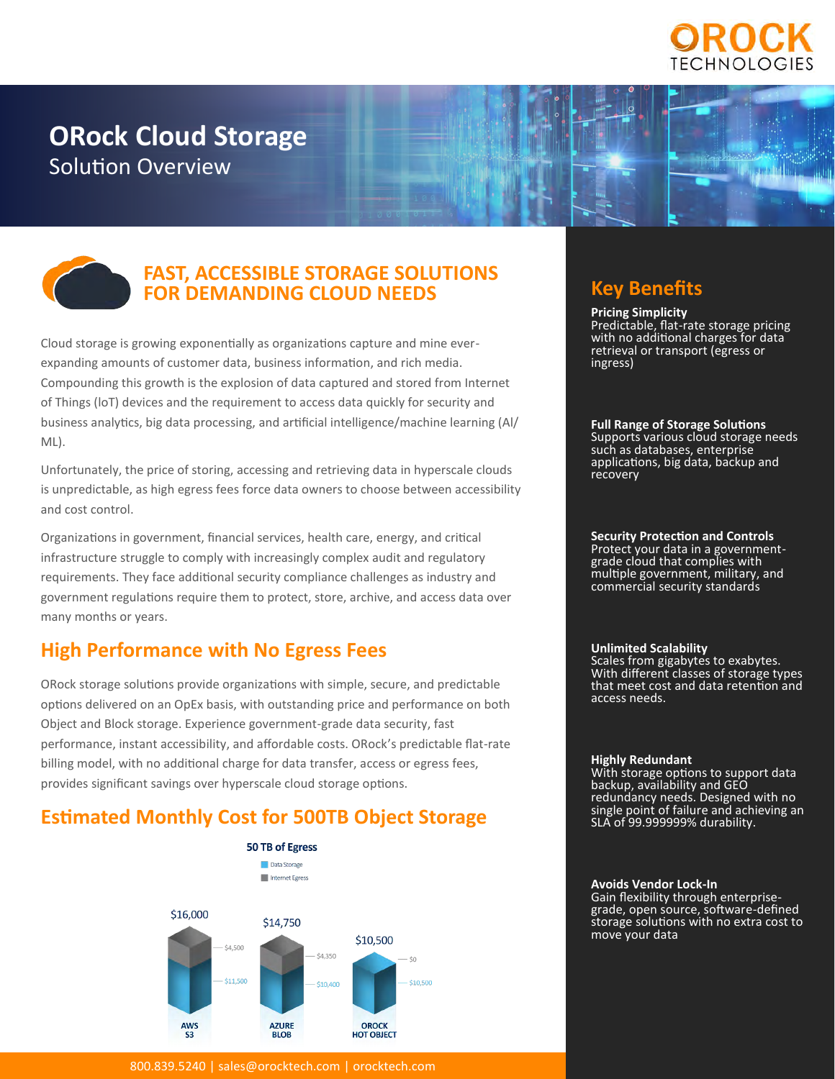

# **ORock Cloud Storage** Solution Overview





## **FAST, ACCESSIBLE STORAGE SOLUTIONS FOR DEMANDING CLOUD NEEDS**

Cloud storage is growing exponentially as organizations capture and mine everexpanding amounts of customer data, business information, and rich media. Compounding this growth is the explosion of data captured and stored from Internet of Things (loT) devices and the requirement to access data quickly for security and business analytics, big data processing, and artificial intelligence/machine learning (Al/ ML).

Unfortunately, the price of storing, accessing and retrieving data in hyperscale clouds is unpredictable, as high egress fees force data owners to choose between accessibility and cost control.

Organizations in government, financial services, health care, energy, and critical infrastructure struggle to comply with increasingly complex audit and regulatory requirements. They face additional security compliance challenges as industry and government regulations require them to protect, store, archive, and access data over many months or years.

# **High Performance with No Egress Fees**

ORock storage solutions provide organizations with simple, secure, and predictable options delivered on an OpEx basis, with outstanding price and performance on both Object and Block storage. Experience government-grade data security, fast performance, instant accessibility, and affordable costs. ORock's predictable flat-rate billing model, with no additional charge for data transfer, access or egress fees, provides significant savings over hyperscale cloud storage options.

# **Estimated Monthly Cost for 500TB Object Storage**



800.839.5240 | [sales@orocktech.com](mailto:sales@orocktech.com) | [orocktech.com](https://orocktech.com/)

# **Key Benefits**

**Pricing Simplicity** Predictable, flat-rate storage pricing with no additional charges for data retrieval or transport (egress or ingress)

**Full Range of Storage Solutions** Supports various cloud storage needs such as databases, enterprise applications, big data, backup and recovery

**Security Protection and Controls**

Protect your data in a governmentgrade cloud that complies with multiple government, military, and commercial security standards

### **Unlimited Scalability**

Scales from gigabytes to exabytes. With different classes of storage types that meet cost and data retention and access needs.

#### **Highly Redundant**

With storage options to support data backup, availability and GEO redundancy needs. Designed with no single point of failure and achieving an SLA of 99.999999% durability.

#### **Avoids Vendor Lock-In**

Gain flexibility through enterprisegrade, open source, software-defined storage solutions with no extra cost to move your data